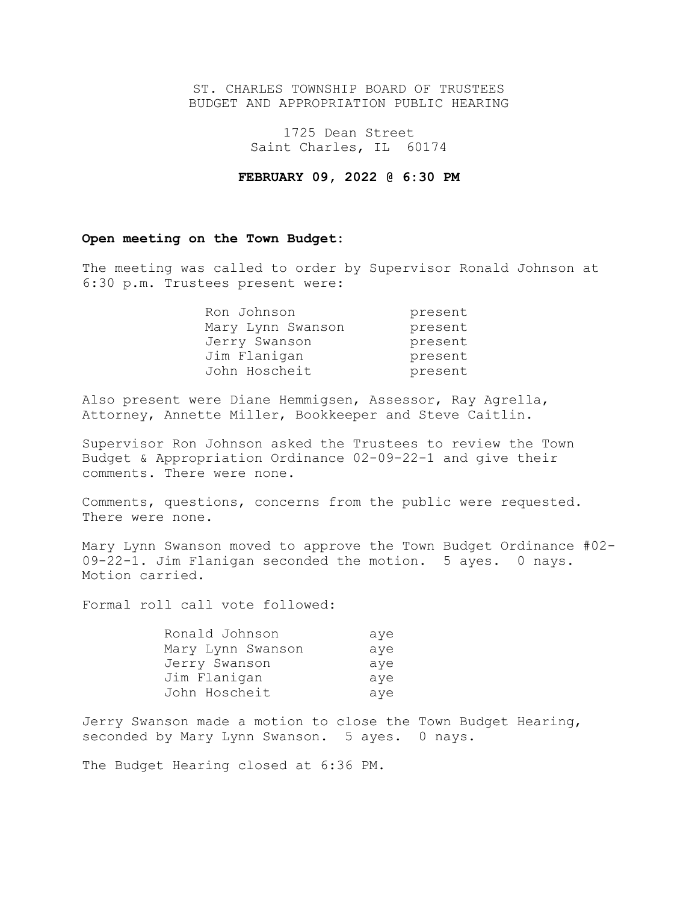## ST. CHARLES TOWNSHIP BOARD OF TRUSTEES BUDGET AND APPROPRIATION PUBLIC HEARING

1725 Dean Street Saint Charles, IL 60174

## **FEBRUARY 09, 2022 @ 6:30 PM**

# **Open meeting on the Town Budget:**

The meeting was called to order by Supervisor Ronald Johnson at 6:30 p.m. Trustees present were:

| Ron Johnson       | present |
|-------------------|---------|
| Mary Lynn Swanson | present |
| Jerry Swanson     | present |
| Jim Flanigan      | present |
| John Hoscheit     | present |

Also present were Diane Hemmigsen, Assessor, Ray Agrella, Attorney, Annette Miller, Bookkeeper and Steve Caitlin.

Supervisor Ron Johnson asked the Trustees to review the Town Budget & Appropriation Ordinance 02-09-22-1 and give their comments. There were none.

Comments, questions, concerns from the public were requested. There were none.

Mary Lynn Swanson moved to approve the Town Budget Ordinance #02- 09-22-1. Jim Flanigan seconded the motion. 5 ayes. 0 nays. Motion carried.

Formal roll call vote followed:

| Ronald Johnson    | aye |
|-------------------|-----|
| Mary Lynn Swanson | aye |
| Jerry Swanson     | aye |
| Jim Flanigan      | aye |
| John Hoscheit     | aye |

Jerry Swanson made a motion to close the Town Budget Hearing, seconded by Mary Lynn Swanson. 5 ayes. 0 nays.

The Budget Hearing closed at 6:36 PM.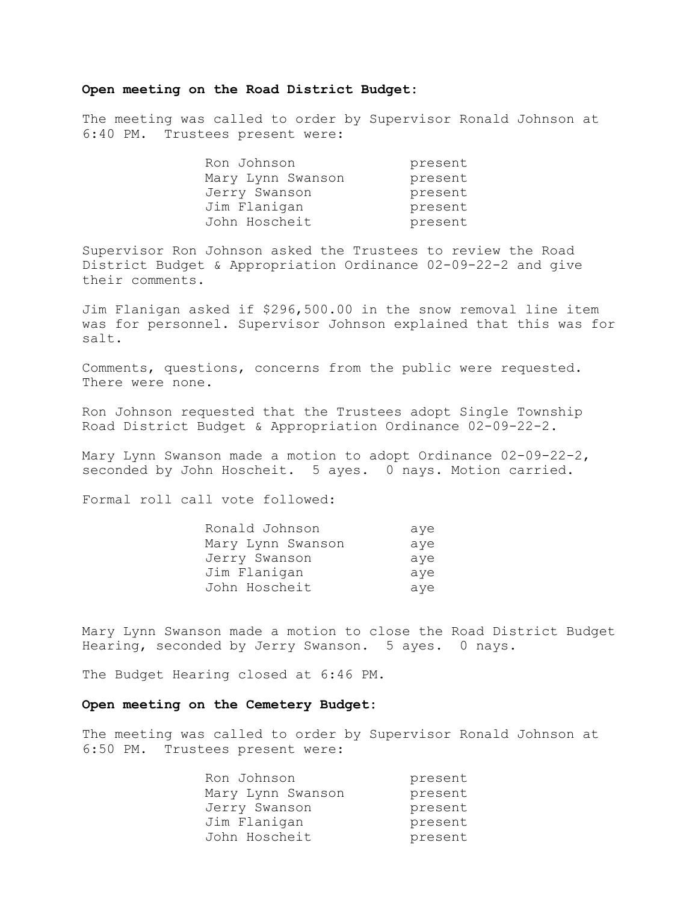### **Open meeting on the Road District Budget:**

The meeting was called to order by Supervisor Ronald Johnson at 6:40 PM. Trustees present were:

| Ron Johnson       | present |
|-------------------|---------|
| Mary Lynn Swanson | present |
| Jerry Swanson     | present |
| Jim Flanigan      | present |
| John Hoscheit     | present |

Supervisor Ron Johnson asked the Trustees to review the Road District Budget & Appropriation Ordinance 02-09-22-2 and give their comments.

Jim Flanigan asked if \$296,500.00 in the snow removal line item was for personnel. Supervisor Johnson explained that this was for salt.

Comments, questions, concerns from the public were requested. There were none.

Ron Johnson requested that the Trustees adopt Single Township Road District Budget & Appropriation Ordinance 02-09-22-2.

Mary Lynn Swanson made a motion to adopt Ordinance 02-09-22-2, seconded by John Hoscheit. 5 ayes. 0 nays. Motion carried.

Formal roll call vote followed:

| Ronald Johnson    | aye |
|-------------------|-----|
| Mary Lynn Swanson | aye |
| Jerry Swanson     | aye |
| Jim Flanigan      | aye |
| John Hoscheit     | aye |

Mary Lynn Swanson made a motion to close the Road District Budget Hearing, seconded by Jerry Swanson. 5 ayes. 0 nays.

The Budget Hearing closed at 6:46 PM.

### **Open meeting on the Cemetery Budget:**

The meeting was called to order by Supervisor Ronald Johnson at 6:50 PM. Trustees present were:

| Ron Johnson       | present |
|-------------------|---------|
| Mary Lynn Swanson | present |
| Jerry Swanson     | present |
| Jim Flanigan      | present |
| John Hoscheit     | present |